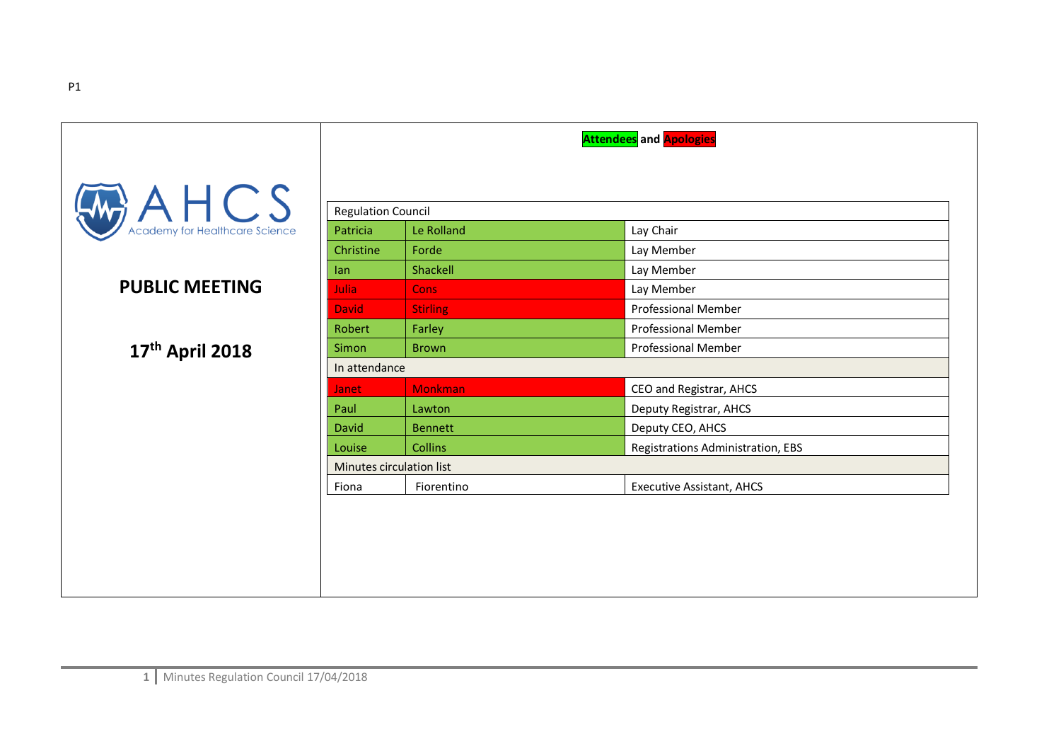|                                                      |                           |                 | <b>Attendees</b> and <b>Apologies</b> |
|------------------------------------------------------|---------------------------|-----------------|---------------------------------------|
| $A \nleftarrow$ CS<br>Academy for Healthcare Science | <b>Regulation Council</b> |                 |                                       |
|                                                      | Patricia                  | Le Rolland      | Lay Chair                             |
|                                                      | Christine                 | Forde           | Lay Member                            |
|                                                      | lan                       | Shackell        | Lay Member                            |
| <b>PUBLIC MEETING</b>                                | Julia                     | <b>Cons</b>     | Lay Member                            |
|                                                      | <b>David</b>              | <b>Stirling</b> | <b>Professional Member</b>            |
|                                                      | Robert                    | Farley          | <b>Professional Member</b>            |
| 17th April 2018                                      | <b>Simon</b>              | <b>Brown</b>    | <b>Professional Member</b>            |
|                                                      | In attendance             |                 |                                       |
|                                                      | <b>Janet</b>              | <b>Monkman</b>  | CEO and Registrar, AHCS               |
|                                                      | Paul                      | Lawton          | Deputy Registrar, AHCS                |
|                                                      | David                     | <b>Bennett</b>  | Deputy CEO, AHCS                      |
|                                                      | Louise                    | <b>Collins</b>  | Registrations Administration, EBS     |
|                                                      | Minutes circulation list  |                 |                                       |
|                                                      | Fiona                     | Fiorentino      | <b>Executive Assistant, AHCS</b>      |
|                                                      |                           |                 |                                       |
|                                                      |                           |                 |                                       |
|                                                      |                           |                 |                                       |
|                                                      |                           |                 |                                       |
|                                                      |                           |                 |                                       |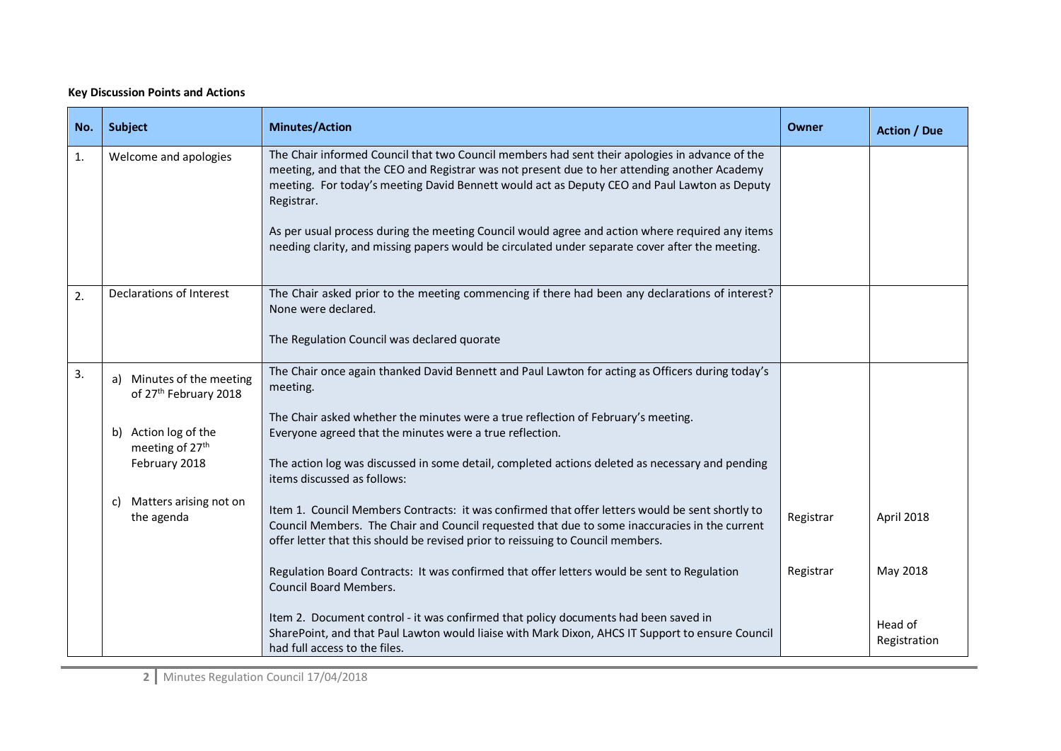## **Key Discussion Points and Actions**

| No. | Subject                                                        | <b>Minutes/Action</b>                                                                                                                                                                                                                                                                                        | Owner     | <b>Action / Due</b>     |
|-----|----------------------------------------------------------------|--------------------------------------------------------------------------------------------------------------------------------------------------------------------------------------------------------------------------------------------------------------------------------------------------------------|-----------|-------------------------|
| 1.  | Welcome and apologies                                          | The Chair informed Council that two Council members had sent their apologies in advance of the<br>meeting, and that the CEO and Registrar was not present due to her attending another Academy<br>meeting. For today's meeting David Bennett would act as Deputy CEO and Paul Lawton as Deputy<br>Registrar. |           |                         |
|     |                                                                | As per usual process during the meeting Council would agree and action where required any items<br>needing clarity, and missing papers would be circulated under separate cover after the meeting.                                                                                                           |           |                         |
| 2.  | Declarations of Interest                                       | The Chair asked prior to the meeting commencing if there had been any declarations of interest?<br>None were declared.                                                                                                                                                                                       |           |                         |
|     |                                                                | The Regulation Council was declared quorate                                                                                                                                                                                                                                                                  |           |                         |
| 3.  | a) Minutes of the meeting<br>of 27 <sup>th</sup> February 2018 | The Chair once again thanked David Bennett and Paul Lawton for acting as Officers during today's<br>meeting.                                                                                                                                                                                                 |           |                         |
|     | b) Action log of the<br>meeting of 27 <sup>th</sup>            | The Chair asked whether the minutes were a true reflection of February's meeting.<br>Everyone agreed that the minutes were a true reflection.                                                                                                                                                                |           |                         |
|     | February 2018                                                  | The action log was discussed in some detail, completed actions deleted as necessary and pending<br>items discussed as follows:                                                                                                                                                                               |           |                         |
|     | c) Matters arising not on<br>the agenda                        | Item 1. Council Members Contracts: it was confirmed that offer letters would be sent shortly to<br>Council Members. The Chair and Council requested that due to some inaccuracies in the current<br>offer letter that this should be revised prior to reissuing to Council members.                          | Registrar | April 2018              |
|     |                                                                | Regulation Board Contracts: It was confirmed that offer letters would be sent to Regulation<br><b>Council Board Members.</b>                                                                                                                                                                                 | Registrar | May 2018                |
|     |                                                                | Item 2. Document control - it was confirmed that policy documents had been saved in<br>SharePoint, and that Paul Lawton would liaise with Mark Dixon, AHCS IT Support to ensure Council<br>had full access to the files.                                                                                     |           | Head of<br>Registration |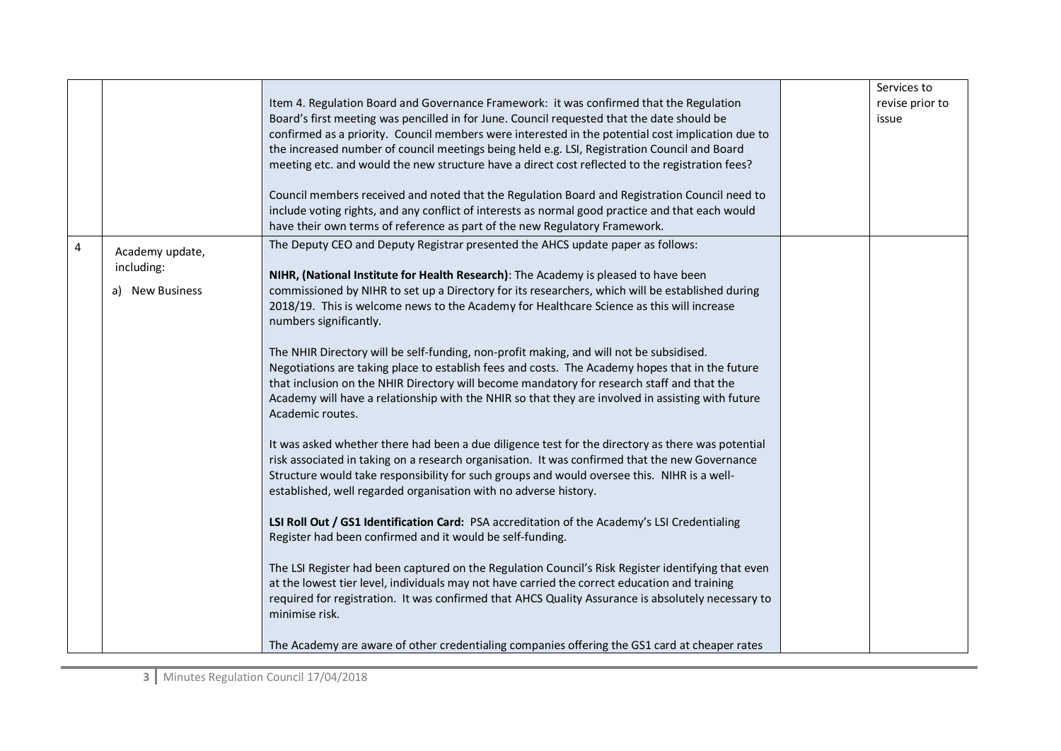|                |                                                  | Item 4. Regulation Board and Governance Framework: it was confirmed that the Regulation<br>Board's first meeting was pencilled in for June. Council requested that the date should be<br>confirmed as a priority. Council members were interested in the potential cost implication due to                                                                                                                        | Services to<br>revise prior to<br>issue |
|----------------|--------------------------------------------------|-------------------------------------------------------------------------------------------------------------------------------------------------------------------------------------------------------------------------------------------------------------------------------------------------------------------------------------------------------------------------------------------------------------------|-----------------------------------------|
|                |                                                  | the increased number of council meetings being held e.g. LSI, Registration Council and Board<br>meeting etc. and would the new structure have a direct cost reflected to the registration fees?                                                                                                                                                                                                                   |                                         |
|                |                                                  | Council members received and noted that the Regulation Board and Registration Council need to<br>include voting rights, and any conflict of interests as normal good practice and that each would<br>have their own terms of reference as part of the new Regulatory Framework.                                                                                                                                   |                                         |
| $\overline{4}$ | Academy update,<br>including:<br>a) New Business | The Deputy CEO and Deputy Registrar presented the AHCS update paper as follows:<br>NIHR, (National Institute for Health Research): The Academy is pleased to have been<br>commissioned by NIHR to set up a Directory for its researchers, which will be established during<br>2018/19. This is welcome news to the Academy for Healthcare Science as this will increase<br>numbers significantly.                 |                                         |
|                |                                                  | The NHIR Directory will be self-funding, non-profit making, and will not be subsidised.<br>Negotiations are taking place to establish fees and costs. The Academy hopes that in the future<br>that inclusion on the NHIR Directory will become mandatory for research staff and that the<br>Academy will have a relationship with the NHIR so that they are involved in assisting with future<br>Academic routes. |                                         |
|                |                                                  | It was asked whether there had been a due diligence test for the directory as there was potential<br>risk associated in taking on a research organisation. It was confirmed that the new Governance<br>Structure would take responsibility for such groups and would oversee this. NIHR is a well-<br>established, well regarded organisation with no adverse history.                                            |                                         |
|                |                                                  | LSI Roll Out / GS1 Identification Card: PSA accreditation of the Academy's LSI Credentialing<br>Register had been confirmed and it would be self-funding.                                                                                                                                                                                                                                                         |                                         |
|                |                                                  | The LSI Register had been captured on the Regulation Council's Risk Register identifying that even<br>at the lowest tier level, individuals may not have carried the correct education and training<br>required for registration. It was confirmed that AHCS Quality Assurance is absolutely necessary to<br>minimise risk.                                                                                       |                                         |
|                |                                                  | The Academy are aware of other credentialing companies offering the GS1 card at cheaper rates                                                                                                                                                                                                                                                                                                                     |                                         |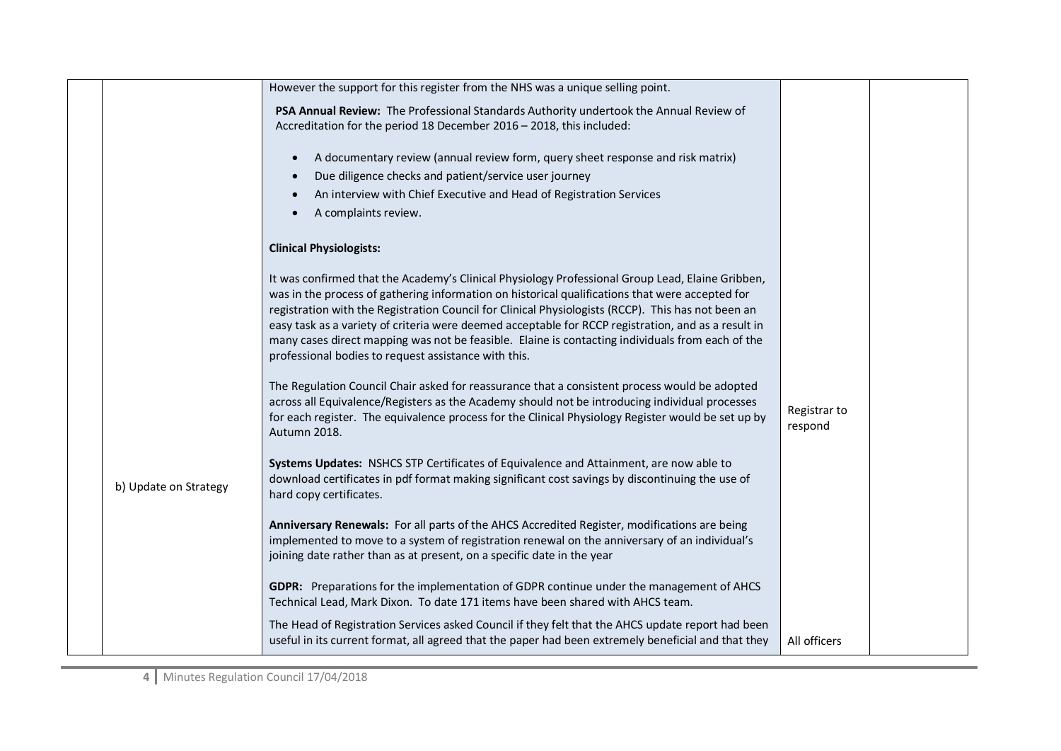|                       | However the support for this register from the NHS was a unique selling point.                                                                                                                                                                                                                                                                                                                                                                                                                                                                                               |                         |  |
|-----------------------|------------------------------------------------------------------------------------------------------------------------------------------------------------------------------------------------------------------------------------------------------------------------------------------------------------------------------------------------------------------------------------------------------------------------------------------------------------------------------------------------------------------------------------------------------------------------------|-------------------------|--|
|                       | PSA Annual Review: The Professional Standards Authority undertook the Annual Review of<br>Accreditation for the period 18 December 2016 - 2018, this included:                                                                                                                                                                                                                                                                                                                                                                                                               |                         |  |
|                       | A documentary review (annual review form, query sheet response and risk matrix)                                                                                                                                                                                                                                                                                                                                                                                                                                                                                              |                         |  |
|                       | Due diligence checks and patient/service user journey                                                                                                                                                                                                                                                                                                                                                                                                                                                                                                                        |                         |  |
|                       | An interview with Chief Executive and Head of Registration Services                                                                                                                                                                                                                                                                                                                                                                                                                                                                                                          |                         |  |
|                       | A complaints review.                                                                                                                                                                                                                                                                                                                                                                                                                                                                                                                                                         |                         |  |
|                       | <b>Clinical Physiologists:</b>                                                                                                                                                                                                                                                                                                                                                                                                                                                                                                                                               |                         |  |
|                       | It was confirmed that the Academy's Clinical Physiology Professional Group Lead, Elaine Gribben,<br>was in the process of gathering information on historical qualifications that were accepted for<br>registration with the Registration Council for Clinical Physiologists (RCCP). This has not been an<br>easy task as a variety of criteria were deemed acceptable for RCCP registration, and as a result in<br>many cases direct mapping was not be feasible. Elaine is contacting individuals from each of the<br>professional bodies to request assistance with this. |                         |  |
|                       | The Regulation Council Chair asked for reassurance that a consistent process would be adopted<br>across all Equivalence/Registers as the Academy should not be introducing individual processes<br>for each register. The equivalence process for the Clinical Physiology Register would be set up by<br>Autumn 2018.                                                                                                                                                                                                                                                        | Registrar to<br>respond |  |
| b) Update on Strategy | Systems Updates: NSHCS STP Certificates of Equivalence and Attainment, are now able to<br>download certificates in pdf format making significant cost savings by discontinuing the use of<br>hard copy certificates.                                                                                                                                                                                                                                                                                                                                                         |                         |  |
|                       | Anniversary Renewals: For all parts of the AHCS Accredited Register, modifications are being<br>implemented to move to a system of registration renewal on the anniversary of an individual's<br>joining date rather than as at present, on a specific date in the year                                                                                                                                                                                                                                                                                                      |                         |  |
|                       | GDPR: Preparations for the implementation of GDPR continue under the management of AHCS<br>Technical Lead, Mark Dixon. To date 171 items have been shared with AHCS team.                                                                                                                                                                                                                                                                                                                                                                                                    |                         |  |
|                       | The Head of Registration Services asked Council if they felt that the AHCS update report had been<br>useful in its current format, all agreed that the paper had been extremely beneficial and that they                                                                                                                                                                                                                                                                                                                                                                     | All officers            |  |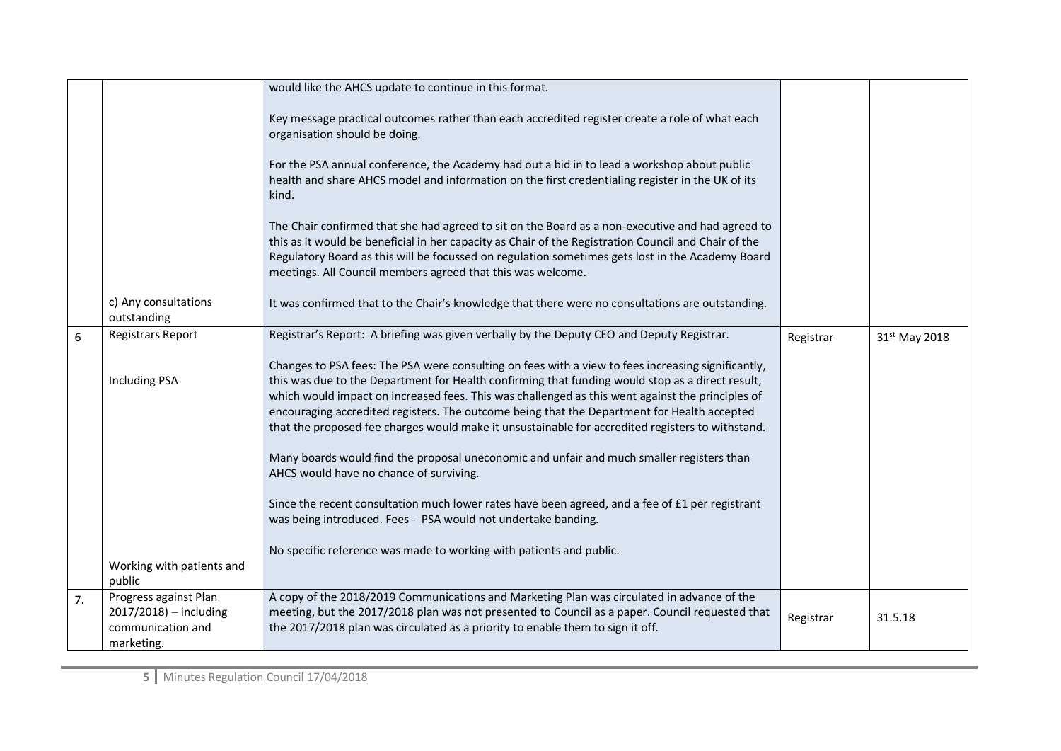|    |                                                                                    | would like the AHCS update to continue in this format.                                                                                                                                                                                                                                                                                                                                                                                                                                                        |           |                           |
|----|------------------------------------------------------------------------------------|---------------------------------------------------------------------------------------------------------------------------------------------------------------------------------------------------------------------------------------------------------------------------------------------------------------------------------------------------------------------------------------------------------------------------------------------------------------------------------------------------------------|-----------|---------------------------|
|    |                                                                                    | Key message practical outcomes rather than each accredited register create a role of what each<br>organisation should be doing.                                                                                                                                                                                                                                                                                                                                                                               |           |                           |
|    |                                                                                    | For the PSA annual conference, the Academy had out a bid in to lead a workshop about public<br>health and share AHCS model and information on the first credentialing register in the UK of its<br>kind.                                                                                                                                                                                                                                                                                                      |           |                           |
|    |                                                                                    | The Chair confirmed that she had agreed to sit on the Board as a non-executive and had agreed to<br>this as it would be beneficial in her capacity as Chair of the Registration Council and Chair of the<br>Regulatory Board as this will be focussed on regulation sometimes gets lost in the Academy Board<br>meetings. All Council members agreed that this was welcome.                                                                                                                                   |           |                           |
|    | c) Any consultations<br>outstanding                                                | It was confirmed that to the Chair's knowledge that there were no consultations are outstanding.                                                                                                                                                                                                                                                                                                                                                                                                              |           |                           |
| 6  | <b>Registrars Report</b>                                                           | Registrar's Report: A briefing was given verbally by the Deputy CEO and Deputy Registrar.                                                                                                                                                                                                                                                                                                                                                                                                                     | Registrar | 31 <sup>st</sup> May 2018 |
|    | <b>Including PSA</b>                                                               | Changes to PSA fees: The PSA were consulting on fees with a view to fees increasing significantly,<br>this was due to the Department for Health confirming that funding would stop as a direct result,<br>which would impact on increased fees. This was challenged as this went against the principles of<br>encouraging accredited registers. The outcome being that the Department for Health accepted<br>that the proposed fee charges would make it unsustainable for accredited registers to withstand. |           |                           |
|    |                                                                                    | Many boards would find the proposal uneconomic and unfair and much smaller registers than<br>AHCS would have no chance of surviving.                                                                                                                                                                                                                                                                                                                                                                          |           |                           |
|    |                                                                                    | Since the recent consultation much lower rates have been agreed, and a fee of £1 per registrant<br>was being introduced. Fees - PSA would not undertake banding.                                                                                                                                                                                                                                                                                                                                              |           |                           |
|    | Working with patients and<br>public                                                | No specific reference was made to working with patients and public.                                                                                                                                                                                                                                                                                                                                                                                                                                           |           |                           |
| 7. | Progress against Plan<br>2017/2018) - including<br>communication and<br>marketing. | A copy of the 2018/2019 Communications and Marketing Plan was circulated in advance of the<br>meeting, but the 2017/2018 plan was not presented to Council as a paper. Council requested that<br>the 2017/2018 plan was circulated as a priority to enable them to sign it off.                                                                                                                                                                                                                               | Registrar | 31.5.18                   |